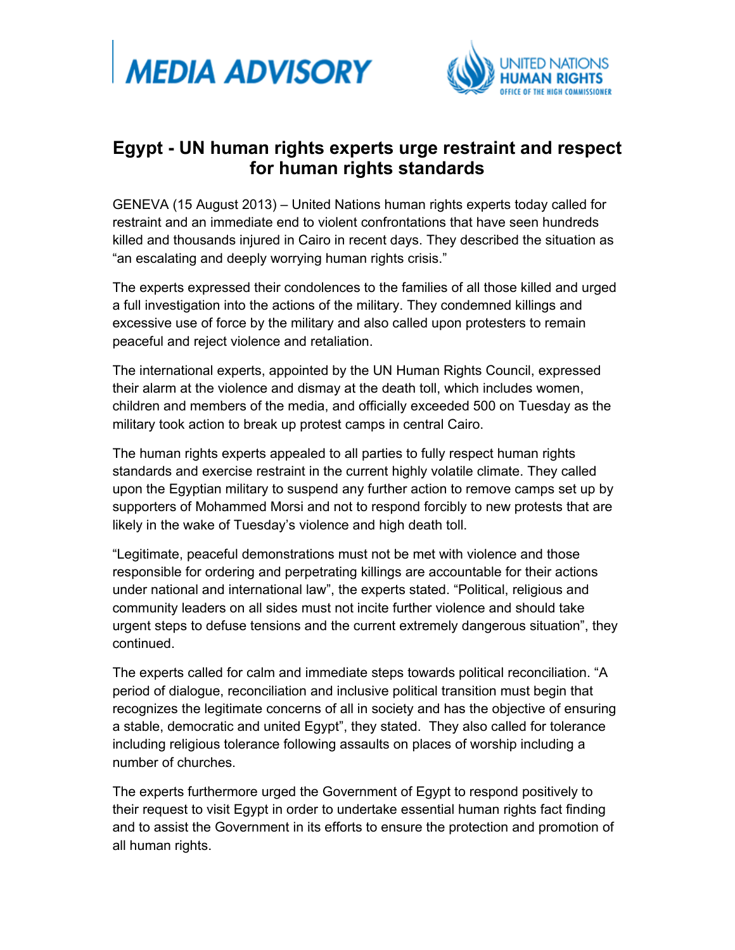



## **Egypt - UN human rights experts urge restraint and respect for human rights standards**

GENEVA (15 August 2013) – United Nations human rights experts today called for restraint and an immediate end to violent confrontations that have seen hundreds killed and thousands injured in Cairo in recent days. They described the situation as "an escalating and deeply worrying human rights crisis."

The experts expressed their condolences to the families of all those killed and urged a full investigation into the actions of the military. They condemned killings and excessive use of force by the military and also called upon protesters to remain peaceful and reject violence and retaliation.

The international experts, appointed by the UN Human Rights Council, expressed their alarm at the violence and dismay at the death toll, which includes women, children and members of the media, and officially exceeded 500 on Tuesday as the military took action to break up protest camps in central Cairo.

The human rights experts appealed to all parties to fully respect human rights standards and exercise restraint in the current highly volatile climate. They called upon the Egyptian military to suspend any further action to remove camps set up by supporters of Mohammed Morsi and not to respond forcibly to new protests that are likely in the wake of Tuesday's violence and high death toll.

"Legitimate, peaceful demonstrations must not be met with violence and those responsible for ordering and perpetrating killings are accountable for their actions under national and international law", the experts stated. "Political, religious and community leaders on all sides must not incite further violence and should take urgent steps to defuse tensions and the current extremely dangerous situation", they continued.

The experts called for calm and immediate steps towards political reconciliation. "A period of dialogue, reconciliation and inclusive political transition must begin that recognizes the legitimate concerns of all in society and has the objective of ensuring a stable, democratic and united Egypt", they stated. They also called for tolerance including religious tolerance following assaults on places of worship including a number of churches.

The experts furthermore urged the Government of Egypt to respond positively to their request to visit Egypt in order to undertake essential human rights fact finding and to assist the Government in its efforts to ensure the protection and promotion of all human rights.